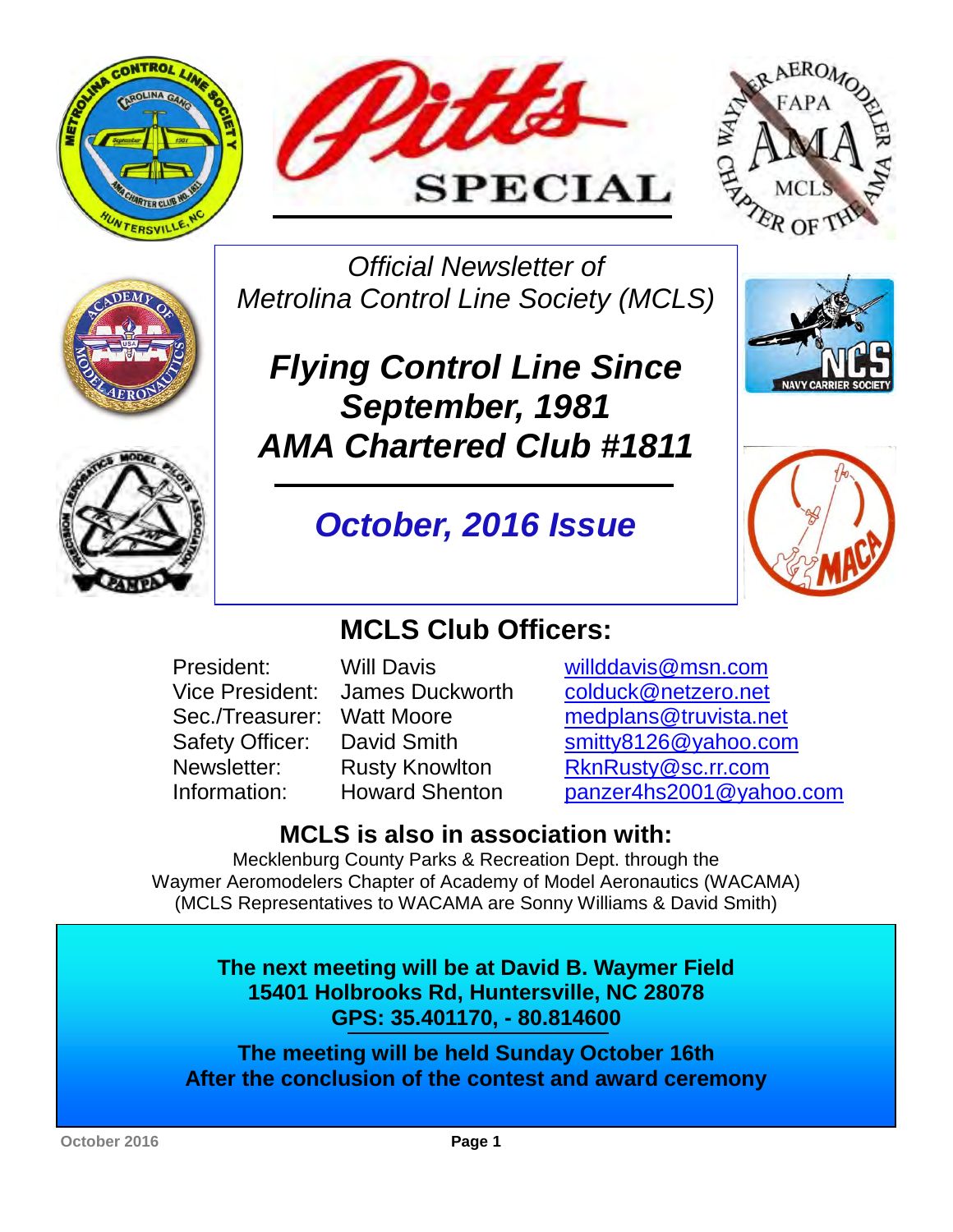





*Official Newsletter of Metrolina Control Line Society (MCLS)* 



*October, 2016 Issue* 



# **MCLS Club Officers:**

- -

President: Will Davis willddavis@msn.com Vice President: James Duckworth colduck@netzero.net Sec./Treasurer: Watt Moore [medplans@truvista.net](mailto:medplans@truvista.net) Safety Officer: David Smith [smitty8126@yahoo.com](http://mrd.mail.yahoo.com/compose?To=smitty8126%40yahoo.com) Newsletter: Rusty Knowlton [RknRusty@sc.rr.com](mailto:RknRusty@sc.rr.com) Information: Howard Shenton [panzer4hs2001@yahoo.com](http://mrd.mail.yahoo.com/compose?To=panzer4hs2001%40yahoo.com)

# **MCLS is also in association with:**

Mecklenburg County Parks & Recreation Dept. through the Waymer Aeromodelers Chapter of Academy of Model Aeronautics (WACAMA) (MCLS Representatives to WACAMA are Sonny Williams & David Smith)

> **The next meeting will be at David B. Waymer Field 15401 Holbrooks Rd, Huntersville, NC 28078 GPS: 35.401170, - 80.814600**

**The meeting will be held Sunday October 16th After the conclusion of the contest and award ceremony** 

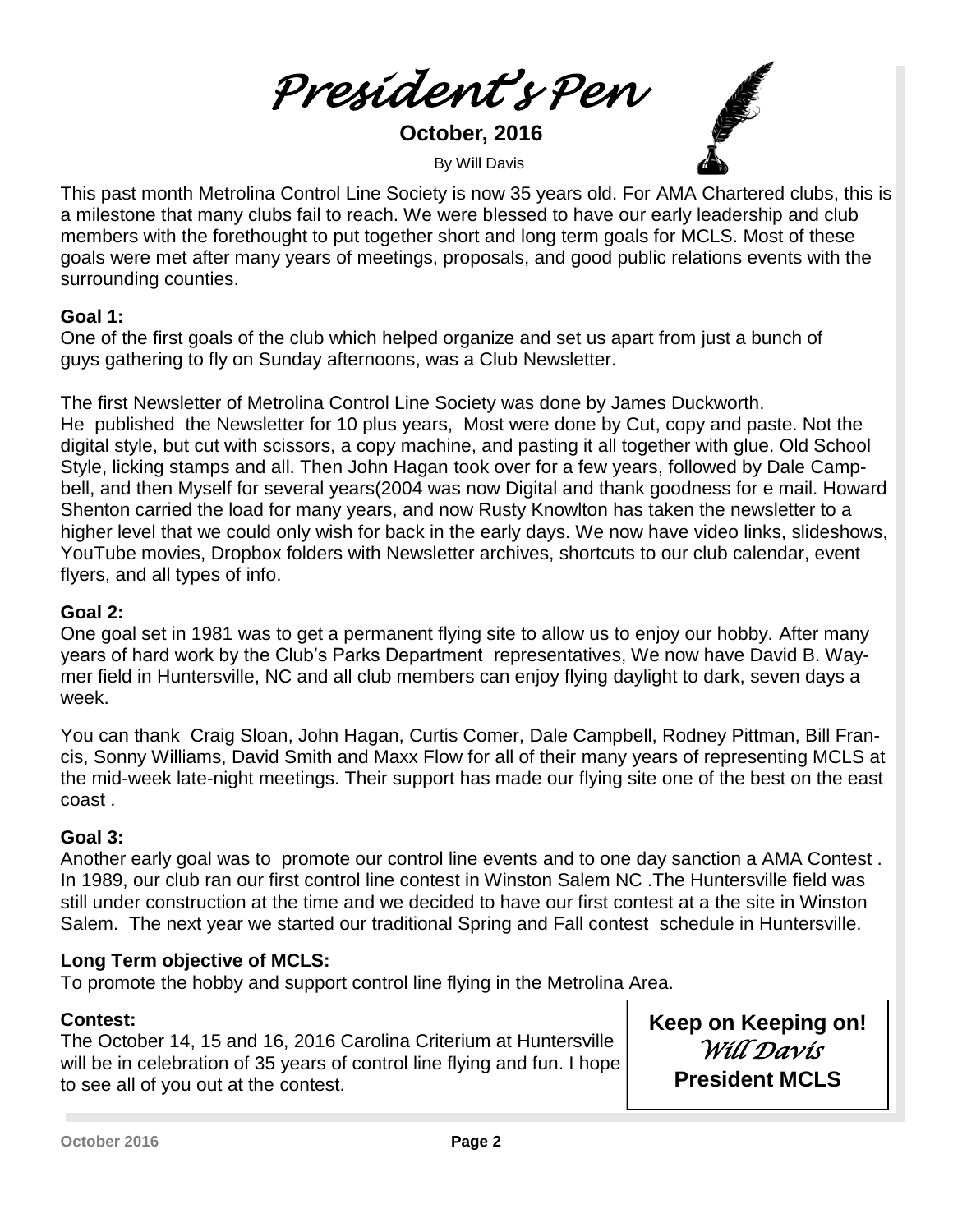*President's Pen*

 **October, 2016** 

**By Will Davis** 



This past month Metrolina Control Line Society is now 35 years old. For AMA Chartered clubs, this is a milestone that many clubs fail to reach. We were blessed to have our early leadership and club members with the forethought to put together short and long term goals for MCLS. Most of these goals were met after many years of meetings, proposals, and good public relations events with the surrounding counties.

## **Goal 1:**

One of the first goals of the club which helped organize and set us apart from just a bunch of guys gathering to fly on Sunday afternoons, was a Club Newsletter.

The first Newsletter of Metrolina Control Line Society was done by James Duckworth. He published the Newsletter for 10 plus years, Most were done by Cut, copy and paste. Not the digital style, but cut with scissors, a copy machine, and pasting it all together with glue. Old School Style, licking stamps and all. Then John Hagan took over for a few years, followed by Dale Campbell, and then Myself for several years(2004 was now Digital and thank goodness for e mail. Howard Shenton carried the load for many years, and now Rusty Knowlton has taken the newsletter to a higher level that we could only wish for back in the early days. We now have video links, slideshows, YouTube movies, Dropbox folders with Newsletter archives, shortcuts to our club calendar, event flyers, and all types of info.

#### **Goal 2:**

One goal set in 1981 was to get a permanent flying site to allow us to enjoy our hobby. After many years of hard work by the Club's Parks Department representatives, We now have David B. Waymer field in Huntersville, NC and all club members can enjoy flying daylight to dark, seven days a week.

You can thank Craig Sloan, John Hagan, Curtis Comer, Dale Campbell, Rodney Pittman, Bill Francis, Sonny Williams, David Smith and Maxx Flow for all of their many years of representing MCLS at the mid-week late-night meetings. Their support has made our flying site one of the best on the east coast .

## **Goal 3:**

Another early goal was to promote our control line events and to one day sanction a AMA Contest . In 1989, our club ran our first control line contest in Winston Salem NC .The Huntersville field was still under construction at the time and we decided to have our first contest at a the site in Winston Salem. The next year we started our traditional Spring and Fall contest schedule in Huntersville.

## **Long Term objective of MCLS:**

To promote the hobby and support control line flying in the Metrolina Area.

## **Contest:**

The October 14, 15 and 16, 2016 Carolina Criterium at Huntersville will be in celebration of 35 years of control line flying and fun. I hope to see all of you out at the contest.

**Keep on Keeping on!**  *Will Davis*  **President MCLS**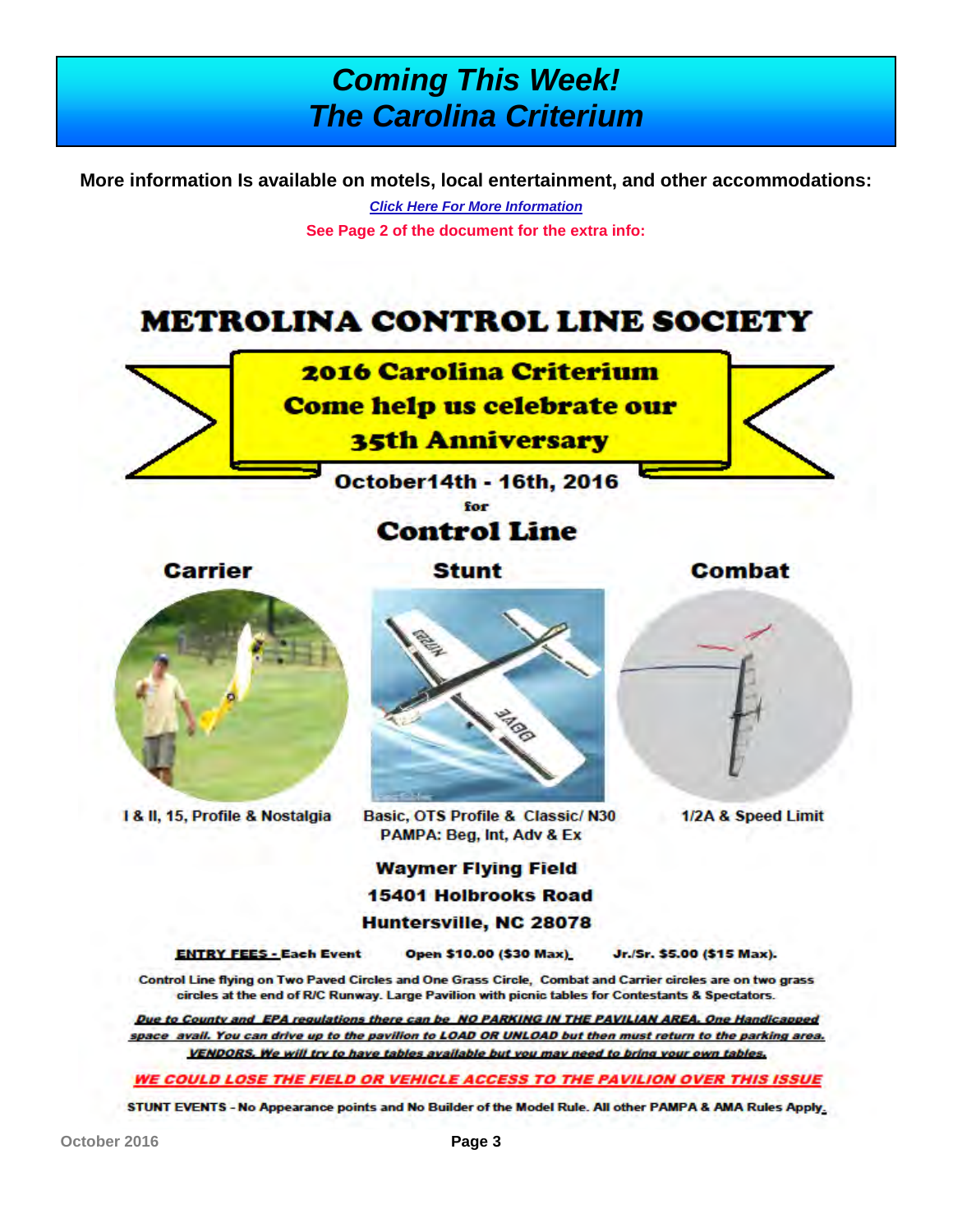# *Coming This Week! The Carolina Criterium*

**More information Is available on motels, local entertainment, and other accommodations:** 

*[Click Here For More Information](https://www.dropbox.com/s/y1x8lon8dftlf1e/Carolina%20Criterium%20contest%20flyer-October%202016%20.pdf?dl=0)*

**See Page 2 of the document for the extra info:**

# **METROLINA CONTROL LINE SOCIETY**



October14th - 16th, 2016

# **Control Line**

**Carrier** 

**Stunt** 

Combat

1/2A & Speed Limit



1 & II, 15, Profile & Nostalgia



Basic, OTS Profile & Classic/N30 PAMPA: Beg, Int, Adv & Ex

## **Waymer Flying Field 15401 Holbrooks Road** Huntersville, NC 28078

**ENTRY FEES - Each Event** 

Open \$10.00 (\$30 Max)

Jr./Sr. \$5.00 (\$15 Max).

Control Line flying on Two Paved Circles and One Grass Circle, Combat and Carrier circles are on two grass circles at the end of R/C Runway. Large Pavilion with picnic tables for Contestants & Spectators.

Due to County and EPA regulations there can be NO PARKING IN THE PAVILIAN AREA. One Handicapped space avail. You can drive up to the pavilion to LOAD OR UNLOAD but then must return to the parking area. VENDORS. We will try to have tables available but you may need to bring your own tables.

**WE COULD LOSE THE FIELD OR VEHICLE ACCESS TO THE PAVILION OVER THIS ISSUE** 

STUNT EVENTS - No Appearance points and No Builder of the Model Rule. All other PAMPA & AMA Rules Apply.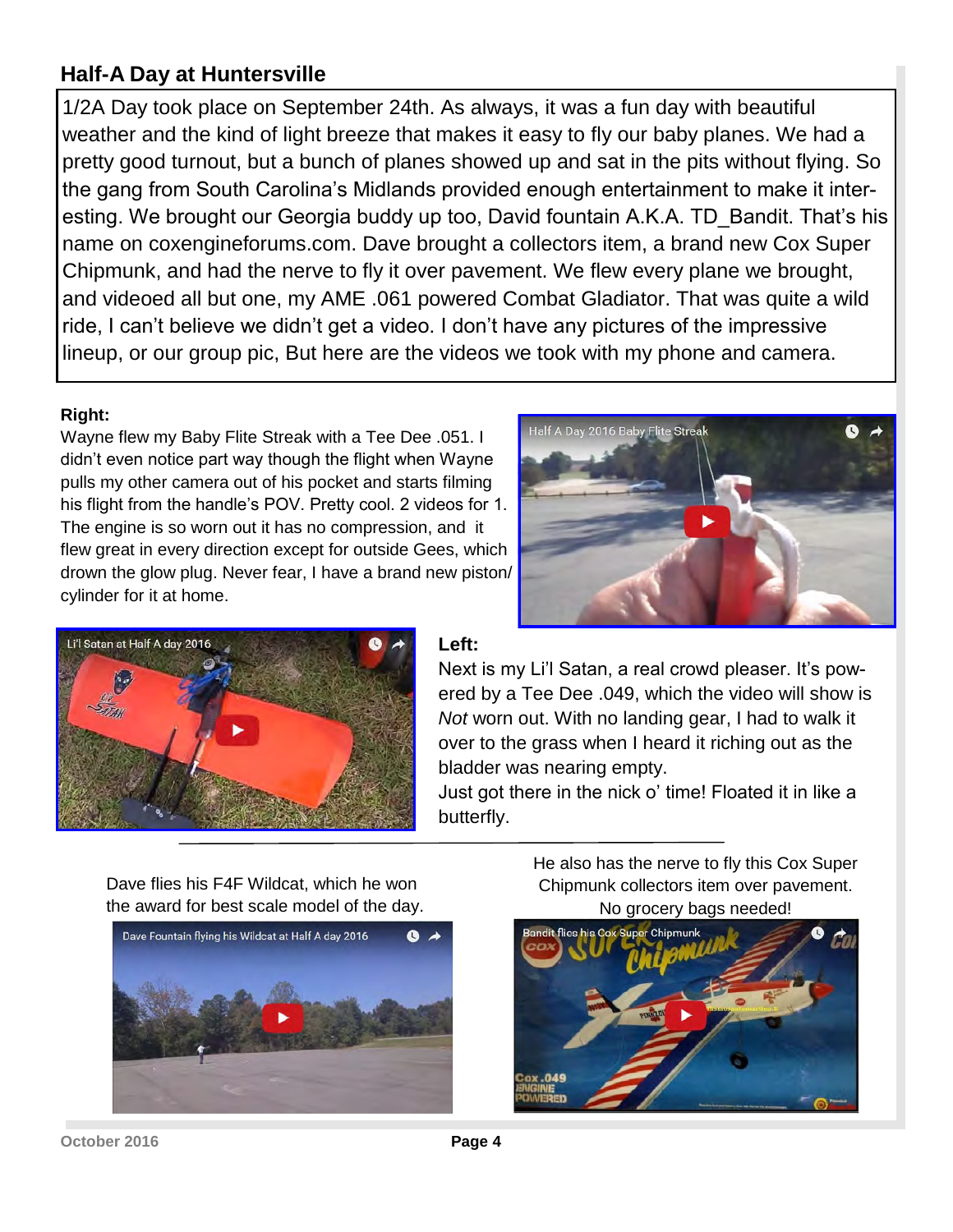# **Half-A Day at Huntersville**

1/2A Day took place on September 24th. As always, it was a fun day with beautiful weather and the kind of light breeze that makes it easy to fly our baby planes. We had a pretty good turnout, but a bunch of planes showed up and sat in the pits without flying. So the gang from South Carolina's Midlands provided enough entertainment to make it interesting. We brought our Georgia buddy up too, David fountain A.K.A. TD\_Bandit. That's his name on coxengineforums.com. Dave brought a collectors item, a brand new Cox Super Chipmunk, and had the nerve to fly it over pavement. We flew every plane we brought, and videoed all but one, my AME .061 powered Combat Gladiator. That was quite a wild ride, I can't believe we didn't get a video. I don't have any pictures of the impressive lineup, or our group pic, But here are the videos we took with my phone and camera.

#### **Right:**

Wayne flew my Baby Flite Streak with a Tee Dee .051. I didn't even notice part way though the flight when Wayne pulls my other camera out of his pocket and starts filming his flight from the handle's POV. Pretty cool. 2 videos for 1. The engine is so worn out it has no compression, and it flew great in every direction except for outside Gees, which drown the glow plug. Never fear, I have a brand new piston/ cylinder for it at home.





#### **Left:**

Next is my Li'l Satan, a real crowd pleaser. It's powered by a Tee Dee .049, which the video will show is *Not* worn out. With no landing gear, I had to walk it over to the grass when I heard it riching out as the bladder was nearing empty.

Just got there in the nick o' time! Floated it in like a butterfly.

Dave flies his F4F Wildcat, which he won the award for best scale model of the day.



He also has the nerve to fly this Cox Super Chipmunk collectors item over pavement. No grocery bags needed!

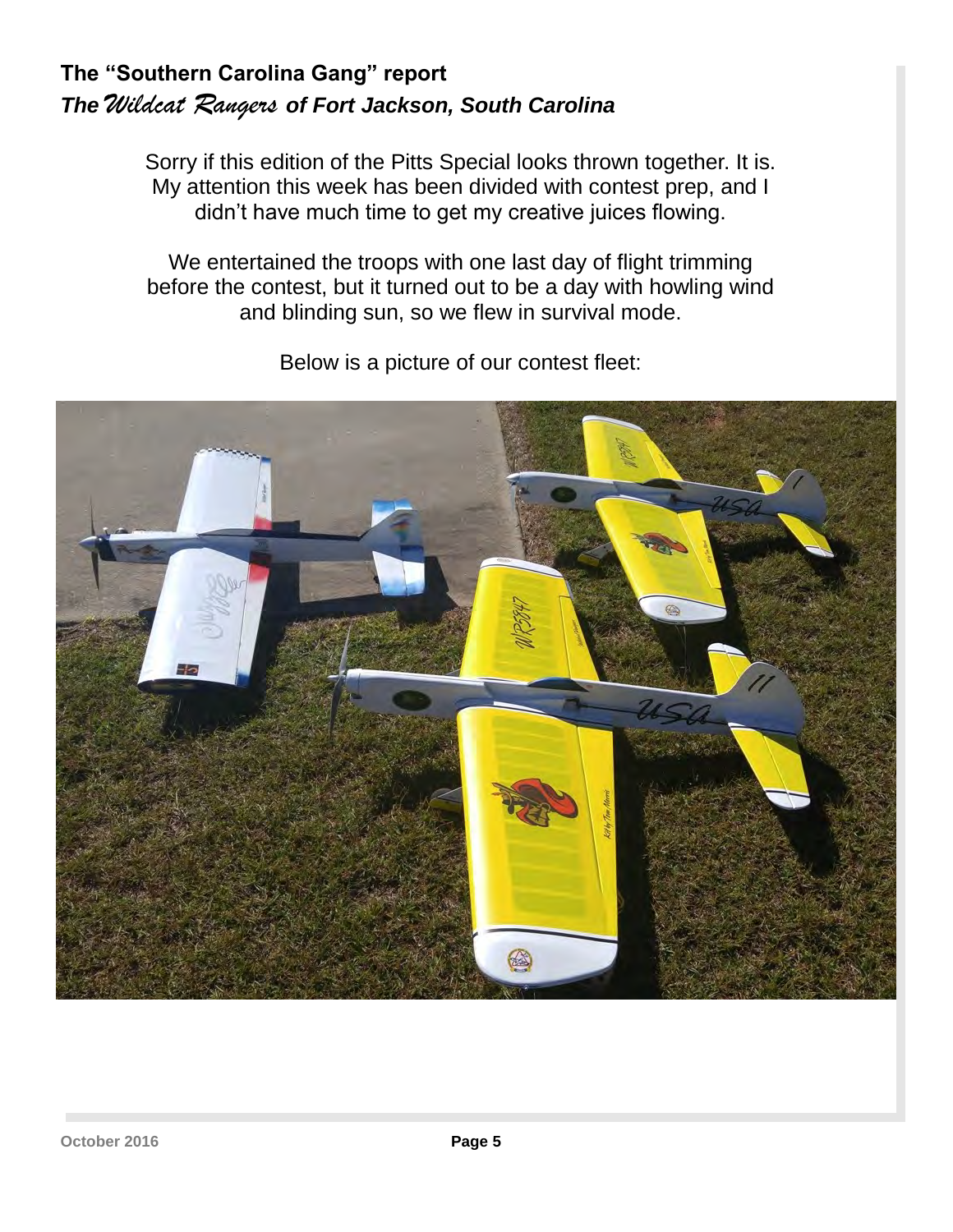# **The "Southern Carolina Gang" report**  *The Wildcat Rangers of Fort Jackson, South Carolina*

Sorry if this edition of the Pitts Special looks thrown together. It is. My attention this week has been divided with contest prep, and I didn't have much time to get my creative juices flowing.

We entertained the troops with one last day of flight trimming before the contest, but it turned out to be a day with howling wind and blinding sun, so we flew in survival mode.



Below is a picture of our contest fleet: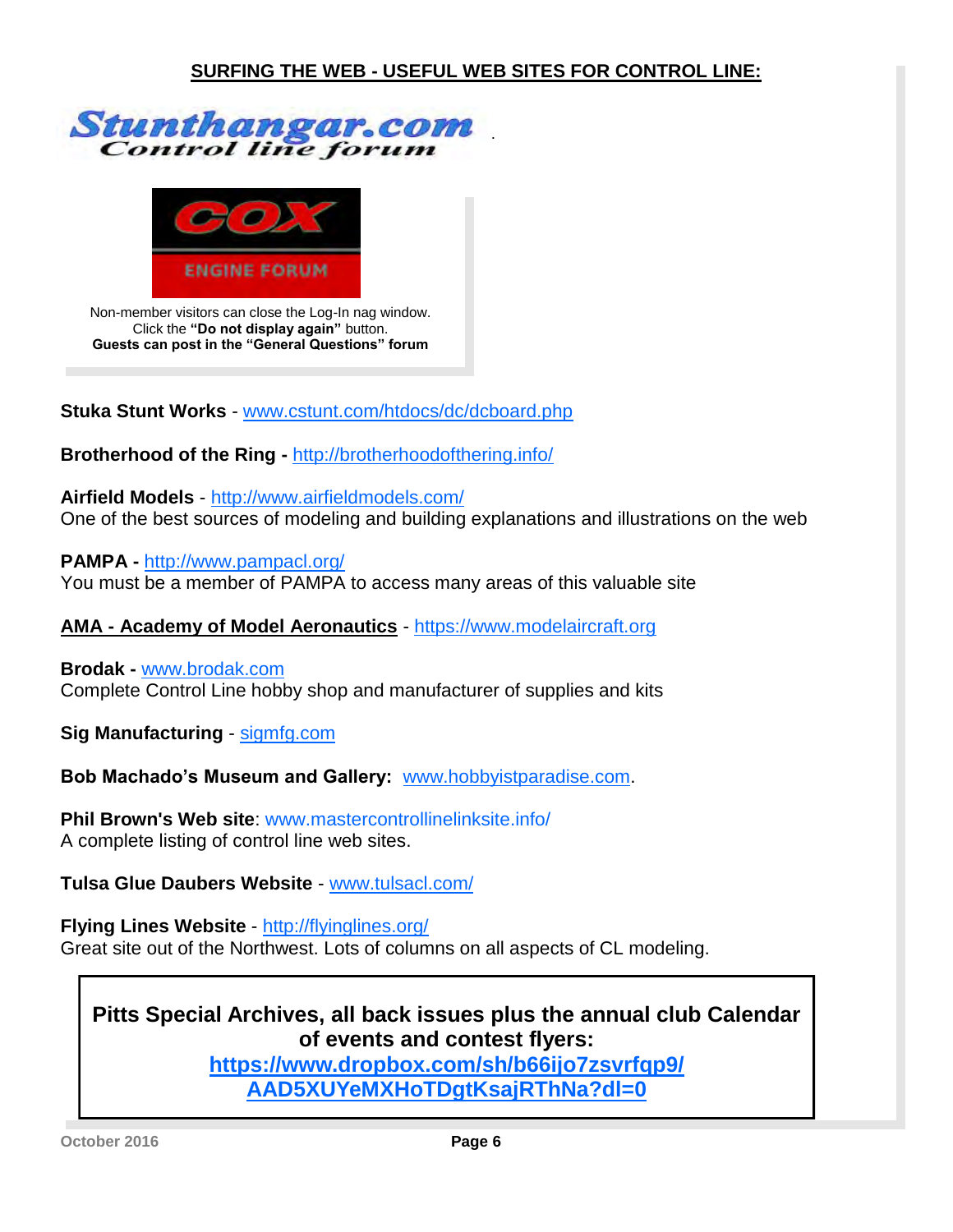



Non-member visitors can close the Log-In nag window. Click the **"Do not display again"** button. **Guests can post in the "General Questions" forum**

**Stuka Stunt Works** - [www.cstunt.com/htdocs/dc/dcboard.php](http://www.clstunt.com/htdocs/dc/dcboard.php)

**Brotherhood of the Ring -** <http://brotherhoodofthering.info/>

**Airfield Models** - <http://www.airfieldmodels.com/> One of the best sources of modeling and building explanations and illustrations on the web

**PAMPA -** <http://www.pampacl.org/> You must be a member of PAMPA to access many areas of this valuable site

**AMA - Academy of Model Aeronautics** -<https://www.modelaircraft.org>

**Brodak -** [www.brodak.com](http://www.brodak.com/) Complete Control Line hobby shop and manufacturer of supplies and kits

**Sig Manufacturing** -<sigmfg.com>

**Bob Machado's Museum and Gallery:** [www.hobbyistparadise.com.](http://www.hobbyistparadise.com)

**Phil Brown's Web site**: [www.mastercontrollinelinksite.info/](http://www.mastercontrollinelinksite.info/clhomepage.html)  A complete listing of control line web sites.

**Tulsa Glue Daubers Website** - [www.tulsacl.com/](http://www.tulsacl.com/)

**Flying Lines Website** - <http://flyinglines.org/> Great site out of the Northwest. Lots of columns on all aspects of CL modeling.

# **Pitts Special Archives, all back issues plus the annual club Calendar of events and contest flyers:**

**[https://www.dropbox.com/sh/b66ijo7zsvrfqp9/](https://www.dropbox.com/sh/b66ijo7zsvrfqp9/AAD5XUYeMXHoTDgtKsajRThNa?dl=0) [AAD5XUYeMXHoTDgtKsajRThNa?dl=0](https://www.dropbox.com/sh/b66ijo7zsvrfqp9/AAD5XUYeMXHoTDgtKsajRThNa?dl=0)**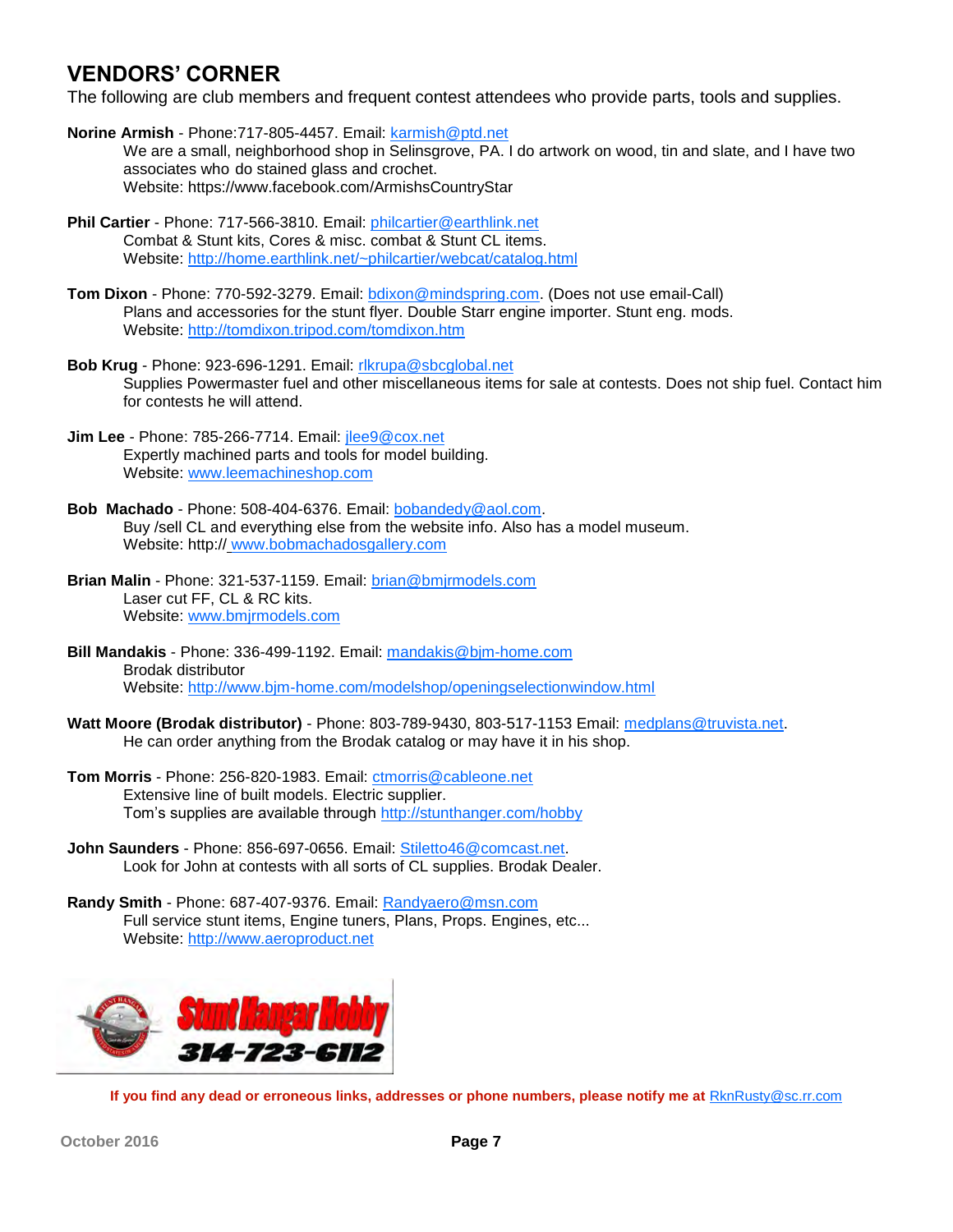## **VENDORS' CORNER**

The following are club members and frequent contest attendees who provide parts, tools and supplies.

- **Norine Armish** Phone:717-805-4457. Email: [karmish@ptd.net](mailto:karmish@ptd.net) We are a small, neighborhood shop in Selinsgrove, PA. I do artwork on wood, tin and slate, and I have two associates who do stained glass and crochet. Website: https://www.facebook.com/ArmishsCountryStar
- **Phil Cartier** Phone: 717-566-3810. Email: [philcartier@earthlink.net](mailto:philcartier@earthlink.net) Combat & Stunt kits, Cores & misc. combat & Stunt CL items. Website: <http://home.earthlink.net/~philcartier/webcat/catalog.html>
- **Tom Dixon** Phone: 770-592-3279. Email: [bdixon@mindspring.com.](mailto:bdixon@mindspring.com) (Does not use email-Call) Plans and accessories for the stunt flyer. Double Starr engine importer. Stunt eng. mods. Website: <http://tomdixon.tripod.com/tomdixon.htm>
- **Bob Krug** Phone: 923-696-1291. Email: [rlkrupa@sbcglobal.net](mailto:rlkrupa@sbcglobal.net) Supplies Powermaster fuel and other miscellaneous items for sale at contests. Does not ship fuel. Contact him for contests he will attend.
- **Jim Lee** Phone: 785-266-7714. Email: [jlee9@cox.net](mailto:jlee9@cox.net) Expertly machined parts and tools for model building. Website: [www.leemachineshop.com](VENDORS%20CORNER)
- **Bob Machado** Phone: 508-404-6376. Email: [bobandedy@aol.com.](mailto:bobandedy@aol.com)  Buy /sell CL and everything else from the website info. Also has a model museum. Website: http:// [www.bobmachadosgallery.com](http://www.bobmachadosgallery.com/)
- **Brian Malin** Phone: 321-537-1159. Email: [brian@bmjrmodels.com](mailto:brian@bmjrmodels.com)  Laser cut FF, CL & RC kits. Website: [www.bmjrmodels.com](http://www.bmjrmodels.com)
- **Bill Mandakis** Phone: 336-499-1192. Email: [mandakis@bjm-home.com](mailto:mandakis@bjm-home.com) Brodak distributor Website: <http://www.bjm-home.com/modelshop/openingselectionwindow.html>
- **Watt Moore (Brodak distributor)**  Phone: 803-789-9430, 803-517-1153 Email: [medplans@truvista.net.](mailto:medplans@truvista.net) He can order anything from the Brodak catalog or may have it in his shop.
- **Tom Morris** Phone: 256-820-1983. Email: [ctmorris@cableone.net](mailto:ctmorris@cableone.net) Extensive line of built models. Electric supplier. Tom's supplies are available through <http://stunthanger.com/hobby>
- **John Saunders** Phone: 856-697-0656. Email: [Stiletto46@comcast.net.](mailto:Stiletto46@comcast.net)  Look for John at contests with all sorts of CL supplies. Brodak Dealer.
- **Randy Smith** Phone: 687-407-9376. Email: [Randyaero@msn.com](mailto:Randyaero@msn.com) Full service stunt items, Engine tuners, Plans, Props. Engines, etc... Website: <http://www.aeroproduct.net>



**If you find any dead or erroneous links, addresses or phone numbers, please notify me at** [RknRusty@sc.rr.com](mailto:RknRusty@sc.rr.com?subject=Newsletter%20vendors)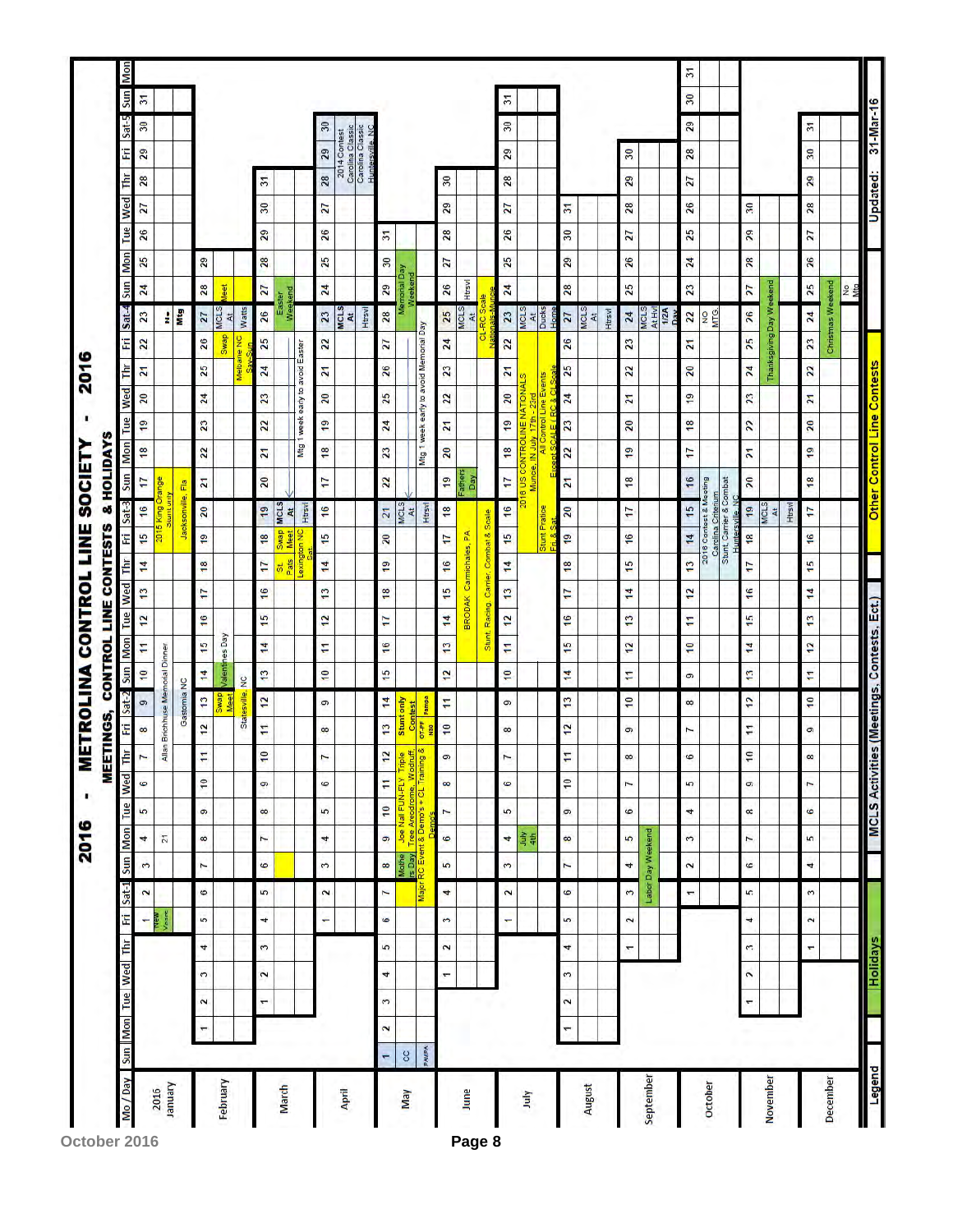|                          |              |                          |        |                       |                |                                      |                      |                          |                  |                 | MEET                                                                        | <b>TNGS,</b>                    |                  |                                            |                          |               |                        |                 | <b>CONTROL LINE CONTESTS</b> |                                               | & HOLIDAYS                                        |                |                 |                 |                                        |                            |                               |                 |                |                |        |                                                          |                |                       |
|--------------------------|--------------|--------------------------|--------|-----------------------|----------------|--------------------------------------|----------------------|--------------------------|------------------|-----------------|-----------------------------------------------------------------------------|---------------------------------|------------------|--------------------------------------------|--------------------------|---------------|------------------------|-----------------|------------------------------|-----------------------------------------------|---------------------------------------------------|----------------|-----------------|-----------------|----------------------------------------|----------------------------|-------------------------------|-----------------|----------------|----------------|--------|----------------------------------------------------------|----------------|-----------------------|
| Mo / Day Sun Mon Tue Wed |              |                          |        |                       | E<br>лц        | Sat-1                                |                      | Sun Mon                  |                  |                 | Tue Wed Thr                                                                 | fn                              | $Sat-2$          |                                            | Sun Mon                  |               | Tue Wed Thr            |                 | Fri                          | Sat-3                                         | Sun                                               | <b>Mon</b>     | Tue             | Wed             | Thr                                    | $Sat-4$<br>E               | Sun                           | Mon             | Tue            | Wed            | Ē      | E                                                        | Sat-5          | Mon<br>Sun            |
|                          |              |                          |        |                       | ٠              | $\sim$                               | $\ddot{\phantom{0}}$ | 4                        | 5                | 6               | N                                                                           | $\infty$                        | $\circ$          | $\overline{\phantom{0}}$                   | F                        | 12            | 13                     | 14              | 15                           | 16                                            | 17                                                | 18             | $\overline{19}$ | $\overline{20}$ | $\overline{21}$                        | 23<br>$\mathbf{z}$         | 24                            | 25              | 26             | 27             | 28     | 29                                                       | 30             | 51                    |
| January<br>2016          |              |                          |        |                       |                | <b>Tears</b>                         |                      | $\overline{z}$           |                  |                 |                                                                             | Allan Brichhuse Memorial Dinner |                  |                                            |                          |               |                        |                 | 2015                         | nt only<br>King                               | Orange                                            |                |                 |                 |                                        | ÷                          |                               |                 |                |                |        |                                                          |                |                       |
|                          |              |                          |        |                       |                |                                      |                      |                          |                  |                 |                                                                             |                                 | Gastomia NC      |                                            |                          |               |                        |                 |                              | Jacksonville, Fla                             |                                                   |                |                 |                 |                                        |                            | Mtg                           |                 |                |                |        |                                                          |                |                       |
|                          |              | $\overline{\phantom{0}}$ | $\sim$ | 3                     | 4              | $\ddot{\circ}$<br>5                  | $\overline{ }$       | $\infty$                 | G                | $\overline{10}$ | F                                                                           | 12                              | 13               | $\overline{14}$                            | 15                       | 16            | Ŧ                      | 18              | $\frac{9}{5}$                | 20                                            | $\overline{z}$                                    | $\overline{2}$ | 23              | 24              | 25                                     | 27<br>26                   | 28                            | 29              |                |                |        |                                                          |                |                       |
| February                 |              |                          |        |                       |                |                                      |                      |                          |                  |                 |                                                                             |                                 | <b>GENVS</b>     |                                            | <b>Valentines</b> Day    |               |                        |                 |                              |                                               |                                                   |                |                 |                 |                                        | MCLS<br>At.<br><b>GewS</b> | leet                          |                 |                |                |        |                                                          |                |                       |
|                          |              |                          |        |                       |                |                                      |                      |                          |                  |                 |                                                                             |                                 | Statesville,     | $\frac{1}{2}$                              |                          |               |                        |                 |                              |                                               |                                                   |                |                 |                 | Melbane NC                             | Watts                      |                               |                 |                |                |        |                                                          |                |                       |
|                          |              |                          | ÷      | $\tilde{ }$           | 3              | 5<br>4                               | 6                    | $\ddot{ }$               | $\infty$         | ó               | ę,                                                                          | H                               | 2                | 13                                         | 14                       | $\frac{5}{1}$ | $\frac{6}{2}$          | 17              | 18                           | $^{19}$                                       | $\overline{20}$                                   | 21             | $\overline{2}$  | 23              | 24                                     | 25                         | 27<br>26                      | 28              | 29             | 30             | 51     |                                                          |                |                       |
| March                    |              |                          |        |                       |                |                                      |                      |                          |                  |                 |                                                                             |                                 |                  |                                            |                          |               |                        | Pats<br>5ť      | <b>Swap</b><br>Meet          | <b>MCLS</b><br>At                             |                                                   |                |                 |                 |                                        |                            | Weekend<br>Easter             |                 |                |                |        |                                                          |                |                       |
|                          |              |                          |        |                       |                |                                      |                      |                          |                  |                 |                                                                             |                                 |                  |                                            |                          |               |                        | Lexington NC    |                              | Htrsvl                                        |                                                   | Mtg 1          |                 |                 | week early to avoid Easter             |                            |                               |                 |                |                |        |                                                          |                |                       |
|                          |              |                          |        |                       |                | $\boldsymbol{\sim}$<br>÷             | 3                    | $\overline{\phantom{a}}$ | 5                | $\circ$         | 7                                                                           | $\infty$                        | σ                | $\overline{10}$                            | F                        | 12            | 13                     | 14              | 15                           | 16                                            | $\overline{1}$                                    | 18             | $\frac{9}{2}$   | 20              | $\overline{z}$                         | 23<br>$\mathbf{z}$         | 24                            | 25              | 26             | 27             | 28     | 29                                                       | 30             |                       |
| April                    |              |                          |        |                       |                |                                      |                      |                          |                  |                 |                                                                             |                                 |                  |                                            |                          |               |                        |                 |                              |                                               |                                                   |                |                 |                 |                                        | <b>MCLS</b><br>đ           |                               |                 |                |                |        | 2014 Contest                                             |                |                       |
|                          |              |                          |        |                       |                |                                      |                      |                          |                  |                 |                                                                             |                                 |                  |                                            |                          |               |                        |                 |                              |                                               |                                                   |                |                 |                 |                                        | Htrsvl                     |                               |                 |                |                |        | Carolina Classic<br>Carolina Classic<br>Huntersville, NC |                |                       |
|                          | ÷            | $\sim$                   | 3      | 4                     | 5              | 7<br>$\circ$                         | $\infty$             | $\bullet$                | 10               | Ħ               | 12                                                                          | $\mathbf{r}$                    | Ħ,               | $\frac{5}{1}$                              | 16                       | Ţ             | 18                     | $\overline{19}$ | $\overline{20}$              | $\overline{21}$                               | $\mathbf{z}$                                      | 23             | 24              | 25              | 26                                     | $\overline{\mathbf{z}}$    | 29<br>28                      | 30              | $\overline{5}$ |                |        |                                                          |                |                       |
| <b>May</b>               | S            |                          |        |                       |                |                                      | Mothe                |                          | Joe Nall FUN-FLY |                 | Triple                                                                      |                                 | Stunt only       |                                            |                          |               |                        |                 |                              | MCLS<br>At                                    |                                                   |                |                 |                 |                                        |                            | <b>Sear</b>                   | <b>vegiteid</b> |                |                |        |                                                          |                |                       |
|                          | <b>PAMPA</b> |                          |        |                       |                |                                      |                      |                          |                  |                 | rs Day  Tree Areodrome, Wodruff,<br>Major RC Event & Demo's + CL Training & | OT-PF                           | Pampa<br>Contest |                                            |                          |               |                        |                 |                              | Htrsvl                                        |                                                   |                |                 |                 | Mtg 1 week early to avoid Memorial Day |                            |                               | eekend          |                |                |        |                                                          |                |                       |
|                          |              |                          |        | $\overline{ }$        | 2              | 4<br>3                               | 5                    | $\circ$                  | $\overline{ }$   | $\infty$        | ø                                                                           | $\overline{10}$                 | F                | 2                                          | 13                       | $\frac{4}{1}$ | 9                      | $\frac{6}{5}$   | 17                           | 18                                            | $^{19}$                                           | 20             | $\mathbf{z}$    | 22              | 23                                     | 25<br>24                   | 26                            | 27              | 28             | 29             | $30\,$ |                                                          |                |                       |
| June                     |              |                          |        |                       |                |                                      |                      |                          |                  |                 |                                                                             |                                 |                  |                                            |                          |               | BRODAK Carmichales, PA |                 |                              |                                               | Fathers<br>Day                                    |                |                 |                 |                                        | <b>MCLS</b>                | Htrsvl<br>R                   |                 |                |                |        |                                                          |                |                       |
|                          |              |                          |        |                       |                |                                      |                      |                          |                  |                 |                                                                             |                                 |                  |                                            | Stunt,                   | Racing.       | Camer,                 |                 | Combat & Scale               |                                               |                                                   |                |                 |                 |                                        |                            |                               |                 |                |                |        |                                                          |                |                       |
|                          |              |                          |        |                       | ٠              | $\overline{2}$                       | 3                    | $\overline{\phantom{a}}$ | 5                | 6               | I                                                                           | $^{\circ}$                      | 9                | $\overline{\phantom{0}}$                   | F                        | 2             | $\overline{13}$        | 14              | 15                           | 16                                            | 17                                                | 18             | $^{9}$          | 20              | $\mathbf{z}$                           | 23<br>$\overline{2}$       | 24                            | 25              | 26             | 27             | 28     | 29                                                       | 30             | 51                    |
| July                     |              |                          |        |                       |                |                                      |                      | $\frac{3}{4}$            |                  |                 |                                                                             |                                 |                  |                                            |                          |               |                        |                 |                              | Ę                                             | 8 US CONTROLINE NATIONALS<br>Muncie, IN July 17th |                |                 |                 |                                        | <b>MCLS</b>                |                               |                 |                |                |        |                                                          |                |                       |
|                          |              |                          |        |                       |                |                                      |                      |                          |                  |                 |                                                                             |                                 |                  |                                            |                          |               |                        |                 | Stunt                        | Pratice                                       |                                                   |                |                 | ents<br>얃       |                                        | At Ducks                   |                               |                 |                |                |        |                                                          |                |                       |
|                          |              | ٣                        | $\sim$ | $\tilde{ }$           | 4              | 6<br>in,                             | <sup>N</sup>         | 8                        | ø                | $\frac{10}{2}$  | F                                                                           | 12                              | $\overline{13}$  | 14                                         | 15                       | $\ddot{ }$    | $\mathbf{H}$           | 18              | 2                            | 20                                            | 21                                                | 22             | 23              | 24              | 25                                     | 27<br>26                   | 28                            | 29              | 30             | $\overline{5}$ |        |                                                          |                |                       |
| August                   |              |                          |        |                       |                |                                      |                      |                          |                  |                 |                                                                             |                                 |                  |                                            |                          |               |                        |                 |                              |                                               |                                                   |                |                 |                 |                                        | MCLS<br>쥑                  |                               |                 |                |                |        |                                                          |                |                       |
|                          |              |                          |        |                       |                |                                      |                      |                          |                  |                 |                                                                             |                                 |                  |                                            |                          |               |                        |                 |                              |                                               |                                                   |                |                 |                 |                                        | Htrsvl                     |                               |                 |                |                |        |                                                          |                |                       |
|                          |              |                          |        |                       | $\overline{ }$ | $\tilde{3}$<br>$\tilde{\phantom{0}}$ | 4                    | $\overline{5}$           | 6                | r               | 80                                                                          | ö                               | $\overline{10}$  | F                                          | 12                       | 13            | $\frac{4}{1}$          | 15              | 16                           | 11                                            | 18                                                | 2              | $\overline{20}$ | $\mathbf{z}$    | 22                                     | 24<br>23                   | 25                            | 26              | 27             | 28             | 29     | 30                                                       |                |                       |
| September                |              |                          |        |                       |                |                                      | Labor Day Weekend    |                          |                  |                 |                                                                             |                                 |                  |                                            |                          |               |                        |                 |                              |                                               |                                                   |                |                 |                 |                                        | MCLS                       |                               |                 |                |                |        |                                                          |                |                       |
|                          |              |                          |        |                       |                |                                      |                      |                          |                  |                 |                                                                             |                                 |                  |                                            |                          |               |                        |                 |                              |                                               |                                                   |                |                 |                 |                                        | At Hyl<br>1/2A             |                               |                 |                |                |        |                                                          |                |                       |
|                          |              |                          |        |                       |                | H                                    | $\sim$               | 3                        | 4                | 5               | 6                                                                           | I                               | ∞                | ø                                          | $\overline{\phantom{0}}$ | Ξ             | 12                     | 13              | 14                           | 15                                            | 16                                                | Ţ              | 18              | $\frac{9}{5}$   | $\overline{20}$                        | 22<br>21                   | 23                            | 24              | 25             | 26             | 27     | 28                                                       | 29             | 51<br>$\overline{30}$ |
| October                  |              |                          |        |                       |                |                                      |                      |                          |                  |                 |                                                                             |                                 |                  |                                            |                          |               |                        |                 |                              | 2016 Contest & Meeting                        |                                                   |                |                 |                 |                                        | ND<br>MTG.                 |                               |                 |                |                |        |                                                          |                |                       |
|                          |              |                          |        |                       |                |                                      |                      |                          |                  |                 |                                                                             |                                 |                  |                                            |                          |               |                        |                 |                              | Carolina Criterium<br>Stunt, Carrier & Combat |                                                   |                |                 |                 |                                        |                            |                               |                 |                |                |        |                                                          |                |                       |
|                          |              |                          | ÷      | $\tilde{\phantom{0}}$ | $\sim$         | 5<br>4                               | 6                    | 1                        | $\infty$         | G               | 10                                                                          | $\overline{1}$                  | 12               | 13                                         | $\overline{\mathbf{1}}$  | 5             | 16                     | 17              | 81                           | 19                                            | $\mathbf{20}$                                     | N              | $\overline{2}$  | 23              | 24                                     | 25                         | $\overline{\mathbf{z}}$<br>26 | 28              | 29             | 30             |        |                                                          |                |                       |
| November                 |              |                          |        |                       |                |                                      |                      |                          |                  |                 |                                                                             |                                 |                  |                                            |                          |               |                        |                 |                              | MCLS<br>$\overline{A}$ t                      |                                                   |                |                 |                 |                                        | Thanksgiving Day Weekend   |                               |                 |                |                |        |                                                          |                |                       |
|                          |              |                          |        |                       |                |                                      |                      |                          |                  |                 |                                                                             |                                 |                  |                                            |                          |               |                        |                 |                              | Httsvl                                        |                                                   |                |                 |                 |                                        |                            |                               |                 |                |                |        |                                                          |                |                       |
|                          |              |                          |        |                       | $\overline{ }$ | 3<br>$\sim$                          | 4                    | $\overline{5}$           | $\ddot{\bullet}$ | 7               | $^{\circ}$                                                                  | G                               | $\overline{10}$  | F                                          | 12                       | 13            | $\frac{4}{1}$          | 15              | 16                           | 7                                             | 18                                                | $\frac{9}{2}$  | $\overline{20}$ | $\mathbf{z}$    | 22                                     | $\mathbf{z}$               | 25<br>24                      | 26              | 27             | 28             | 29     | 30 <sub>o</sub>                                          | $\overline{5}$ |                       |
| December                 |              |                          |        |                       |                |                                      |                      |                          |                  |                 |                                                                             |                                 |                  |                                            |                          |               |                        |                 |                              |                                               |                                                   |                |                 |                 |                                        | Christmas Weekend          |                               |                 |                |                |        |                                                          |                |                       |
|                          |              |                          |        |                       |                |                                      |                      |                          |                  |                 |                                                                             |                                 |                  |                                            |                          |               |                        |                 |                              |                                               |                                                   |                |                 |                 |                                        |                            | No<br>Mto                     |                 |                |                |        |                                                          |                |                       |
| Legend                   |              |                          |        | <b>Holidays</b>       |                |                                      |                      |                          |                  |                 |                                                                             |                                 |                  | MCLS Activities (Meetings, Contests, Ect.) |                          |               |                        |                 |                              | Other Control Line Contests                   |                                                   |                |                 |                 |                                        |                            |                               |                 |                | Updated:       |        |                                                          |                | 31-Mar-16             |

October 2016 **Page 8**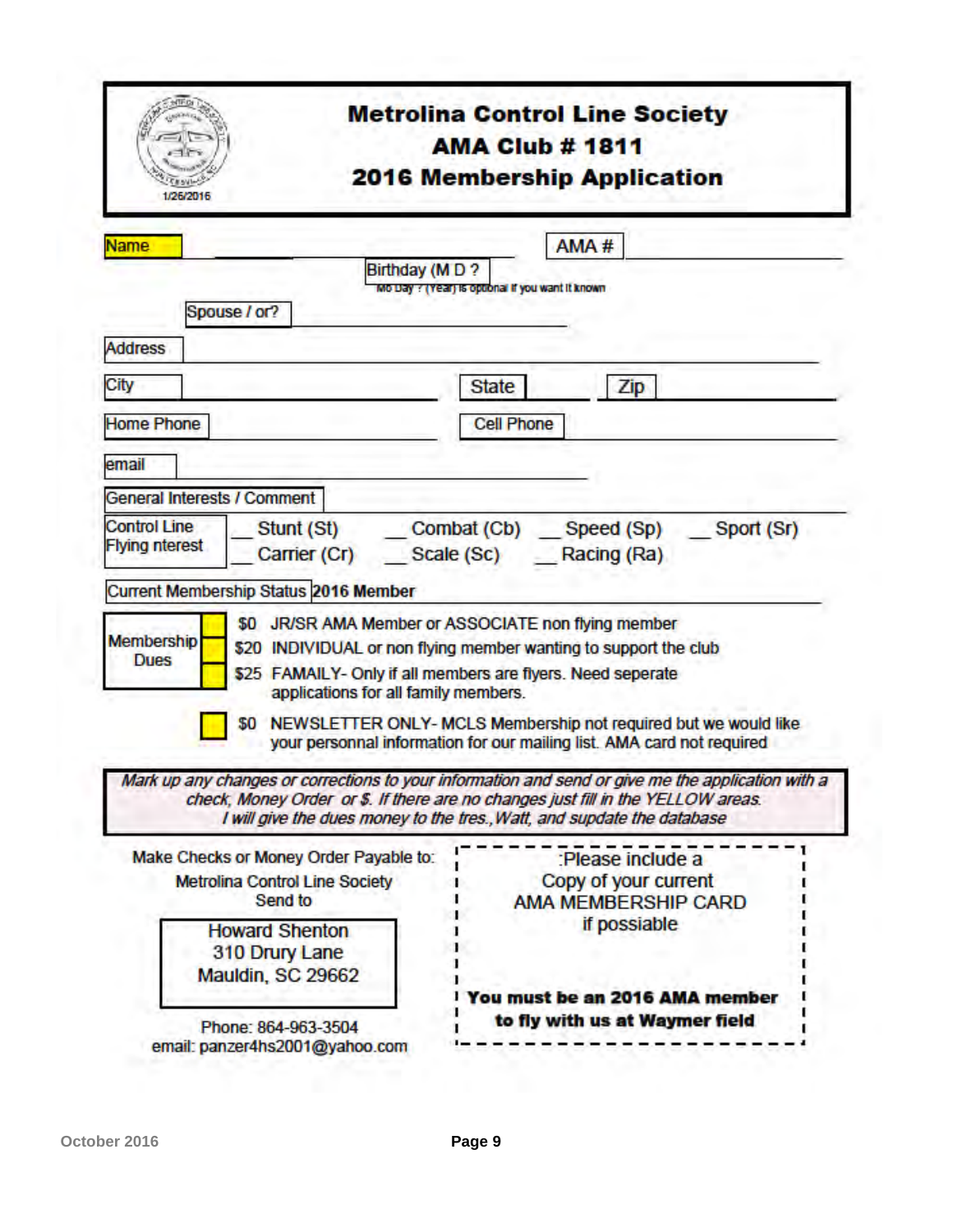| 1/26/2016                                                                                                | <b>Metrolina Control Line Society</b><br><b>AMA Club # 1811</b><br><b>2016 Membership Application</b>                                                                                                                                                                                                                                                                                                              |
|----------------------------------------------------------------------------------------------------------|--------------------------------------------------------------------------------------------------------------------------------------------------------------------------------------------------------------------------------------------------------------------------------------------------------------------------------------------------------------------------------------------------------------------|
| <b>Name</b><br>Spouse / or?                                                                              | AMA#<br>Birthday (MD?<br>Mo Day ? (Year) is optional if you want it known                                                                                                                                                                                                                                                                                                                                          |
| <b>Address</b>                                                                                           |                                                                                                                                                                                                                                                                                                                                                                                                                    |
| City                                                                                                     | <b>State</b><br>Zip                                                                                                                                                                                                                                                                                                                                                                                                |
| <b>Home Phone</b>                                                                                        | <b>Cell Phone</b>                                                                                                                                                                                                                                                                                                                                                                                                  |
| email                                                                                                    |                                                                                                                                                                                                                                                                                                                                                                                                                    |
| <b>General Interests / Comment</b>                                                                       |                                                                                                                                                                                                                                                                                                                                                                                                                    |
| <b>Flying nterest</b><br>Current Membership Status 2016 Member<br><b>Membership</b><br><b>Dues</b><br>50 | Carrier (Cr) Scale (Sc) Racing (Ra)<br>\$0 JR/SR AMA Member or ASSOCIATE non flying member<br>\$20 INDIVIDUAL or non flying member wanting to support the club<br>\$25 FAMAILY- Only if all members are flyers. Need seperate<br>applications for all family members.<br>NEWSLETTER ONLY- MCLS Membership not required but we would like<br>your personnal information for our mailing list. AMA card not required |
|                                                                                                          | Mark up any changes or corrections to your information and send or give me the application with a<br>check, Money Order or \$. If there are no changes just fill in the YELLOW areas.<br>I will give the dues money to the tres., Watt, and supdate the database                                                                                                                                                   |
| Make Checks or Money Order Payable to:<br><b>Metrolina Control Line Society</b><br>Send to               | :Please include a<br>Copy of your current<br><b>AMA MEMBERSHIP CARD</b>                                                                                                                                                                                                                                                                                                                                            |
| <b>Howard Shenton</b><br>310 Drury Lane<br>Mauldin, SC 29662                                             | if possiable<br>You must be an 2016 AMA member                                                                                                                                                                                                                                                                                                                                                                     |
| Phone: 864-963-3504                                                                                      | to fly with us at Waymer field                                                                                                                                                                                                                                                                                                                                                                                     |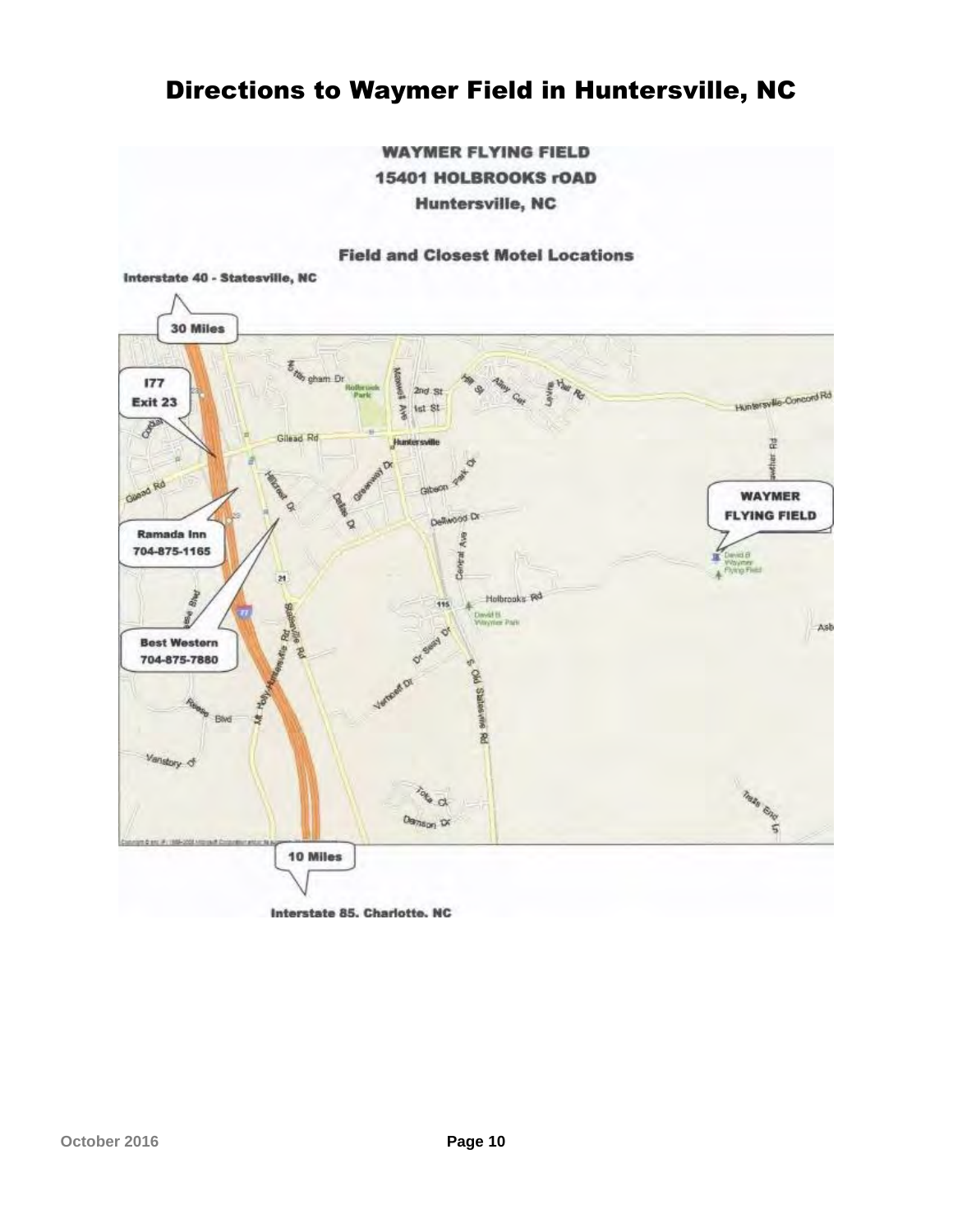# Directions to Waymer Field in Huntersville, NC

**WAYMER FLYING FIELD 15401 HOLBROOKS rOAD Huntersville, NC** 

#### **Field and Closest Motel Locations**



Interstate 85, Charlotte, NC